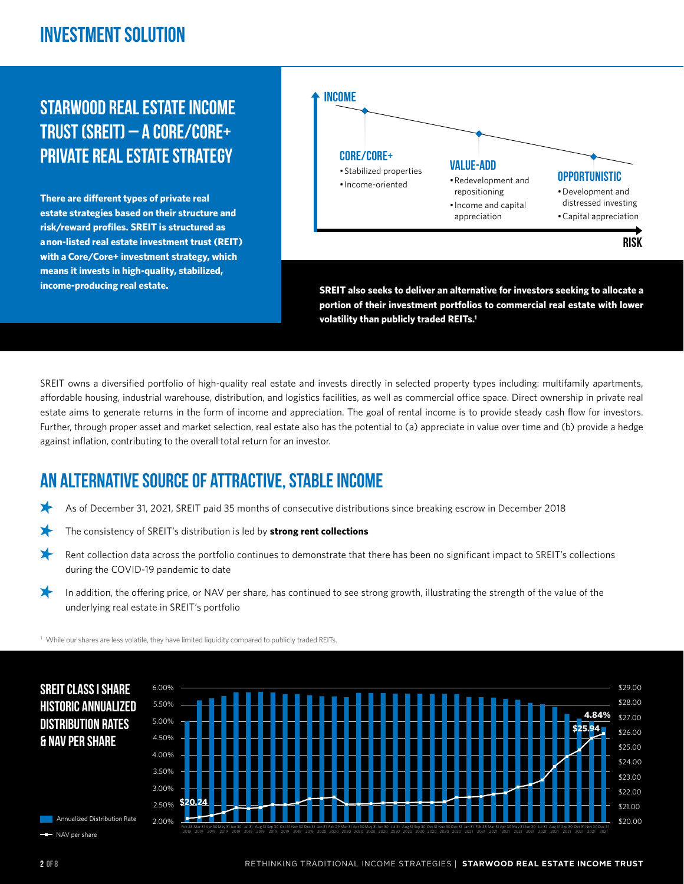## **Investment Solution**

# **Starwood Real Estate Income Trust (SREIT) – A Core/Core+ Private Real Estate Strategy**

**There are different types of private real estate strategies based on their structure and risk/reward profiles. SREIT is structured as a non-listed real estate investment trust (REIT) with a Core/Core+ investment strategy, which means it invests in high-quality, stabilized, income-producing real estate.**



SREIT owns a diversified portfolio of high-quality real estate and invests directly in selected property types including: multifamily apartments, affordable housing, industrial warehouse, distribution, and logistics facilities, as well as commercial office space. Direct ownership in private real estate aims to generate returns in the form of income and appreciation. The goal of rental income is to provide steady cash flow for investors. Further, through proper asset and market selection, real estate also has the potential to (a) appreciate in value over time and (b) provide a hedge against inflation, contributing to the overall total return for an investor.

## **An alternative source of attractive, stable income**

- As of December 31, 2021, SREIT paid 35 months of consecutive distributions since breaking escrow in December 2018
- The consistency of SREIT's distribution is led by **strong rent collections**
- Rent collection data across the portfolio continues to demonstrate that there has been no significant impact to SREIT's collections during the COVID-19 pandemic to date
- ⊁ In addition, the offering price, or NAV per share, has continued to see strong growth, illustrating the strength of the value of the underlying real estate in SREIT's portfolio

<sup>1</sup> While our shares are less volatile, they have limited liquidity compared to publicly traded REITs.

2019

2019



**Annualized Distribution Rate** 

 \$20.00 \$21.00 \$22.00 \$23.00 \$24.00 \$25.00 \$26.00 \$27.00 \$28.00 \$29.00 2.00% 2.50% 3.00% 3.50% 4.00% 4.50% 5.00% 5.50% 6.00% Feb 28 Mar 31 Apr 30 May 31 Jun 30 Aug 31 Sep 30 Nov 30 Dec 31 Jan 31 Feb 29 Mar 31 Apr 30 May 31 Jun 30 Jul 31 Aug 31 Sep 30 Nov 30 Dec 31 Jan 31 Feb 28 Mar 31 Apr 30 May 31 Jun 30 Aug 31 Sep 30 Nov 30 Dec 31 **\$20.24 \$25.94 4.84%**

NAV per share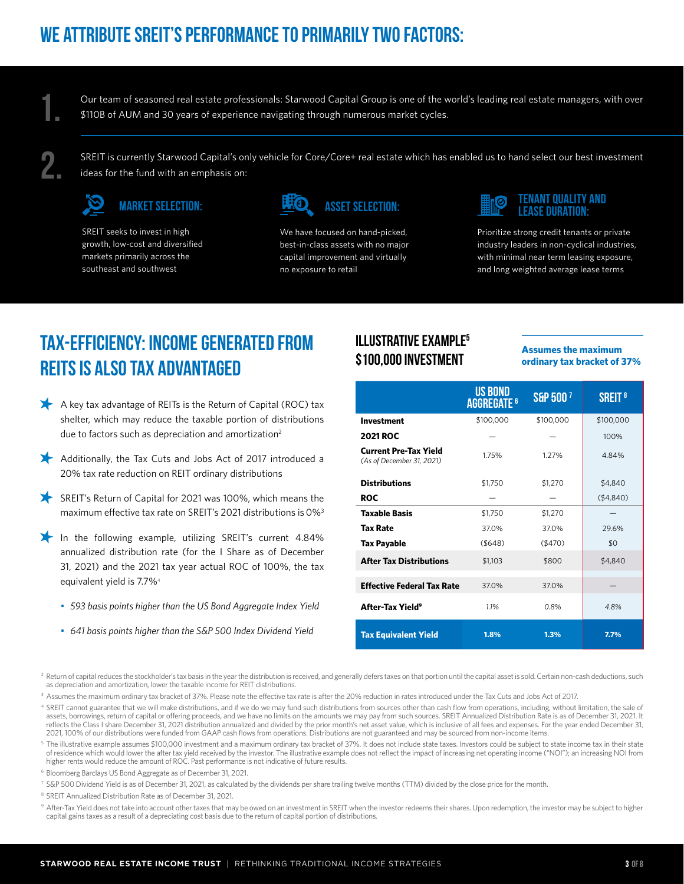**1.**

Our team of seasoned real estate professionals: Starwood Capital Group is one of the world's leading real estate managers, with over \$110B of AUM and 30 years of experience navigating through numerous market cycles.

**2.**

SREIT is currently Starwood Capital's only vehicle for Core/Core+ real estate which has enabled us to hand select our best investment ideas for the fund with an emphasis on:



SREIT seeks to invest in high growth, low-cost and diversified markets primarily across the southeast and southwest



We have focused on hand-picked, best-in-class assets with no major capital improvement and virtually no exposure to retail

![](_page_2_Picture_10.jpeg)

Prioritize strong credit tenants or private industry leaders in non-cyclical industries, with minimal near term leasing exposure, and long weighted average lease terms

# **Tax-Efficiency: Income generated from REITs is also tax advantaged**

- A key tax advantage of REITs is the Return of Capital (ROC) tax shelter, which may reduce the taxable portion of distributions due to factors such as depreciation and amortization<sup>2</sup>
- Additionally, the Tax Cuts and Jobs Act of 2017 introduced a 20% tax rate reduction on REIT ordinary distributions
- SREIT's Return of Capital for 2021 was 100%, which means the maximum effective tax rate on SREIT's 2021 distributions is 0%3
- In the following example, utilizing SREIT's current 4.84% annualized distribution rate (for the I Share as of December 31, 2021) and the 2021 tax year actual ROC of 100%, the tax equivalent yield is 7.7%4
	- *• 593 basis points higher than the US Bond Aggregate Index Yield*
	- *• 641 basis points higher than the S&P 500 Index Dividend Yield*

#### **Illustrative Example5 \$100,000 Investment**

**Assumes the maximum ordinary tax bracket of 37%**

|                                                           | <b>US BOND</b><br><b>AGGREGATE<sup>6</sup></b> | S&P 500 <sup>7</sup> | <b>SREIT<sup>8</sup></b> |
|-----------------------------------------------------------|------------------------------------------------|----------------------|--------------------------|
| <b>Investment</b>                                         | \$100,000                                      | \$100,000            | \$100,000                |
| <b>2021 ROC</b>                                           |                                                |                      | 100%                     |
| <b>Current Pre-Tax Yield</b><br>(As of December 31, 2021) | 1.75%                                          | 1.27%                | 4.84%                    |
| <b>Distributions</b>                                      | \$1.750                                        | \$1,270              | \$4,840                  |
| ROC                                                       |                                                |                      | ( \$4, 840)              |
| <b>Taxable Basis</b>                                      | \$1,750                                        | \$1,270              |                          |
| <b>Tax Rate</b>                                           | 37.0%                                          | 37.0%                | 29.6%                    |
| Tax Payable                                               | ( \$648)                                       | ( \$470)             | \$0                      |
| <b>After Tax Distributions</b>                            | \$1,103                                        | \$800                | \$4,840                  |
| <b>Effective Federal Tax Rate</b>                         | 37.0%                                          | 37.0%                |                          |
| After-Tax Yield <sup>9</sup>                              | 1.1%                                           | 0.8%                 | 4.8%                     |
| <b>Tax Equivalent Yield</b>                               | 1.8%                                           | 1.3%                 | 7.7%                     |

<sup>2</sup> Return of capital reduces the stockholder's tax basis in the year the distribution is received, and generally defers taxes on that portion until the capital asset is sold. Certain non-cash deductions, such as depreciation and amortization, lower the taxable income for REIT distributions.

<sup>3</sup> Assumes the maximum ordinary tax bracket of 37%. Please note the effective tax rate is after the 20% reduction in rates introduced under the Tax Cuts and Jobs Act of 2017.

<sup>4</sup> SREIT cannot guarantee that we will make distributions, and if we do we may fund such distributions from sources other than cash flow from operations, including, without limitation, the sale of assets, borrowings, return of capital or offering proceeds, and we have no limits on the amounts we may pay from such sources. SREIT Annualized Distribution Rate is as of December 31, 2021. It reflects the Class I share December 31, 2021 distribution annualized and divided by the prior month's net asset value, which is inclusive of all fees and expenses. For the year ended December 31, 2021, 100% of our distributions were funded from GAAP cash flows from operations. Distributions are not guaranteed and may be sourced from non-income items.

<sup>5</sup> The illustrative example assumes \$100,000 investment and a maximum ordinary tax bracket of 37%. It does not include state taxes. Investors could be subject to state income tax in their state of residence which would lower the after tax yield received by the investor. The illustrative example does not reflect the impact of increasing net operating income ("NOI"); an increasing NOI from higher rents would reduce the amount of ROC. Past performance is not indicative of future results.

- <sup>6</sup> Bloomberg Barclays US Bond Aggregate as of December 31, 2021.
- <sup>7</sup> S&P 500 Dividend Yield is as of December 31, 2021, as calculated by the dividends per share trailing twelve months (TTM) divided by the close price for the month.

<sup>8</sup> SREIT Annualized Distribution Rate as of December 31, 2021.

9 After-Tax Yield does not take into account other taxes that may be owed on an investment in SREIT when the investor redeems their shares. Upon redemption, the investor may be subject to higher capital gains taxes as a result of a depreciating cost basis due to the return of capital portion of distributions.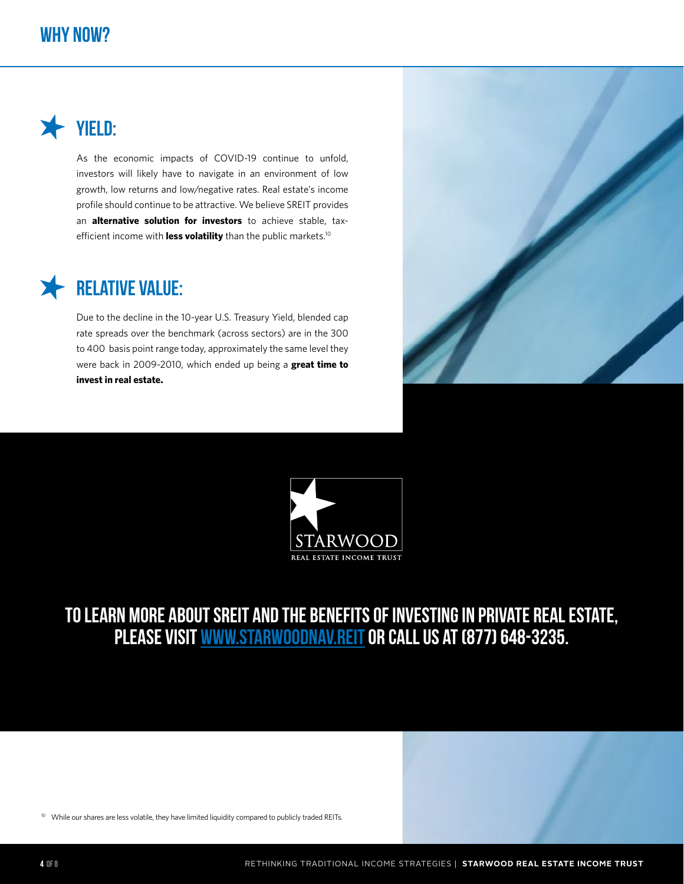#### **Why Now?**

![](_page_3_Picture_1.jpeg)

As the economic impacts of COVID-19 continue to unfold, investors will likely have to navigate in an environment of low growth, low returns and low/negative rates. Real estate's income profile should continue to be attractive. We believe SREIT provides an **alternative solution for investors** to achieve stable, taxefficient income with **less volatility** than the public markets.<sup>10</sup>

# **Relative Value:**

Due to the decline in the 10-year U.S. Treasury Yield, blended cap rate spreads over the benchmark (across sectors) are in the 300 to 400 basis point range today, approximately the same level they were back in 2009-2010, which ended up being a **great time to invest in real estate.**

![](_page_3_Picture_5.jpeg)

![](_page_3_Picture_6.jpeg)

**To learn more about SREIT and the benefits of investing in private real estate, please visit www.starwoodnav.reitor call us at (877) 648-3235.**

<sup>10</sup> While our shares are less volatile, they have limited liquidity compared to publicly traded REITs.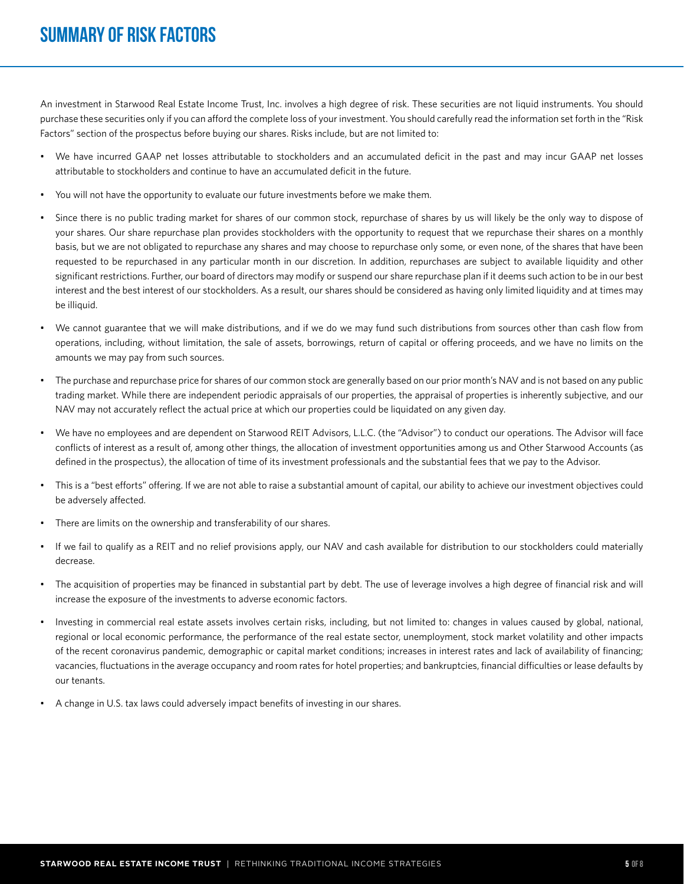## **SUMMARY OF RISK FACTORS**

An investment in Starwood Real Estate Income Trust, Inc. involves a high degree of risk. These securities are not liquid instruments. You should purchase these securities only if you can afford the complete loss of your investment. You should carefully read the information set forth in the "Risk Factors" section of the prospectus before buying our shares. Risks include, but are not limited to:

- We have incurred GAAP net losses attributable to stockholders and an accumulated deficit in the past and may incur GAAP net losses attributable to stockholders and continue to have an accumulated deficit in the future.
- You will not have the opportunity to evaluate our future investments before we make them.
- Since there is no public trading market for shares of our common stock, repurchase of shares by us will likely be the only way to dispose of your shares. Our share repurchase plan provides stockholders with the opportunity to request that we repurchase their shares on a monthly basis, but we are not obligated to repurchase any shares and may choose to repurchase only some, or even none, of the shares that have been requested to be repurchased in any particular month in our discretion. In addition, repurchases are subject to available liquidity and other significant restrictions. Further, our board of directors may modify or suspend our share repurchase plan if it deems such action to be in our best interest and the best interest of our stockholders. As a result, our shares should be considered as having only limited liquidity and at times may be illiquid.
- We cannot guarantee that we will make distributions, and if we do we may fund such distributions from sources other than cash flow from operations, including, without limitation, the sale of assets, borrowings, return of capital or offering proceeds, and we have no limits on the amounts we may pay from such sources.
- The purchase and repurchase price for shares of our common stock are generally based on our prior month's NAV and is not based on any public trading market. While there are independent periodic appraisals of our properties, the appraisal of properties is inherently subjective, and our NAV may not accurately reflect the actual price at which our properties could be liquidated on any given day.
- We have no employees and are dependent on Starwood REIT Advisors, L.L.C. (the "Advisor") to conduct our operations. The Advisor will face conflicts of interest as a result of, among other things, the allocation of investment opportunities among us and Other Starwood Accounts (as defined in the prospectus), the allocation of time of its investment professionals and the substantial fees that we pay to the Advisor.
- This is a "best efforts" offering. If we are not able to raise a substantial amount of capital, our ability to achieve our investment objectives could be adversely affected.
- There are limits on the ownership and transferability of our shares.
- If we fail to qualify as a REIT and no relief provisions apply, our NAV and cash available for distribution to our stockholders could materially decrease.
- The acquisition of properties may be financed in substantial part by debt. The use of leverage involves a high degree of financial risk and will increase the exposure of the investments to adverse economic factors.
- Investing in commercial real estate assets involves certain risks, including, but not limited to: changes in values caused by global, national, regional or local economic performance, the performance of the real estate sector, unemployment, stock market volatility and other impacts of the recent coronavirus pandemic, demographic or capital market conditions; increases in interest rates and lack of availability of financing; vacancies, fluctuations in the average occupancy and room rates for hotel properties; and bankruptcies, financial difficulties or lease defaults by our tenants.
- A change in U.S. tax laws could adversely impact benefits of investing in our shares.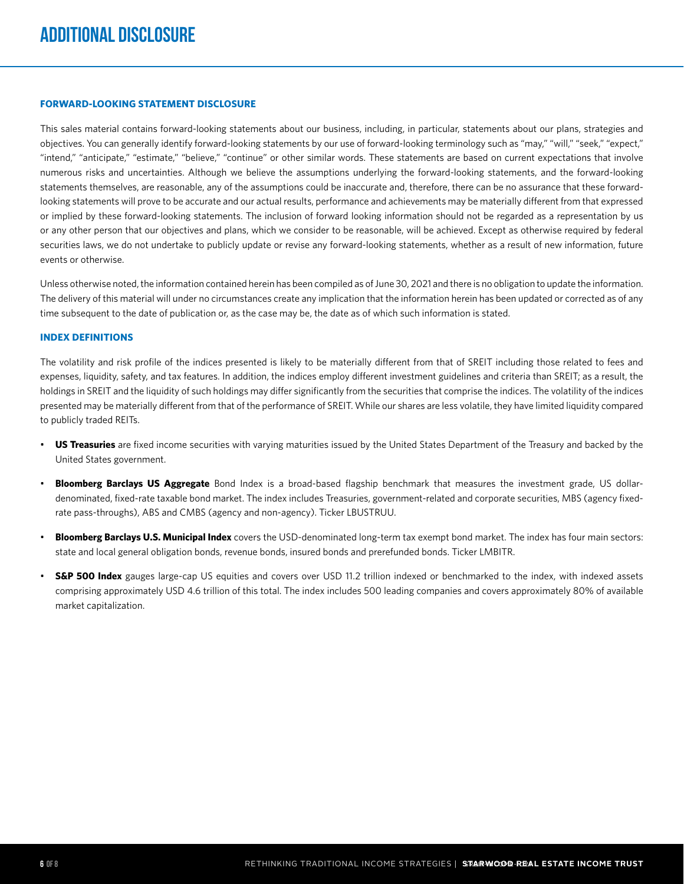#### **FORWARD-LOOKING STATEMENT DISCLOSURE**

This sales material contains forward-looking statements about our business, including, in particular, statements about our plans, strategies and objectives. You can generally identify forward-looking statements by our use of forward-looking terminology such as "may," "will," "seek," "expect," "intend," "anticipate," "estimate," "believe," "continue" or other similar words. These statements are based on current expectations that involve numerous risks and uncertainties. Although we believe the assumptions underlying the forward-looking statements, and the forward-looking statements themselves, are reasonable, any of the assumptions could be inaccurate and, therefore, there can be no assurance that these forwardlooking statements will prove to be accurate and our actual results, performance and achievements may be materially different from that expressed or implied by these forward-looking statements. The inclusion of forward looking information should not be regarded as a representation by us or any other person that our objectives and plans, which we consider to be reasonable, will be achieved. Except as otherwise required by federal securities laws, we do not undertake to publicly update or revise any forward-looking statements, whether as a result of new information, future events or otherwise.

Unless otherwise noted, the information contained herein has been compiled as of June 30, 2021 and there is no obligation to update the information. The delivery of this material will under no circumstances create any implication that the information herein has been updated or corrected as of any time subsequent to the date of publication or, as the case may be, the date as of which such information is stated.

#### **INDEX DEFINITIONS**

The volatility and risk profile of the indices presented is likely to be materially different from that of SREIT including those related to fees and expenses, liquidity, safety, and tax features. In addition, the indices employ different investment guidelines and criteria than SREIT; as a result, the holdings in SREIT and the liquidity of such holdings may differ significantly from the securities that comprise the indices. The volatility of the indices presented may be materially different from that of the performance of SREIT. While our shares are less volatile, they have limited liquidity compared to publicly traded REITs.

- **US Treasuries** are fixed income securities with varying maturities issued by the United States Department of the Treasury and backed by the United States government.
- **Bloomberg Barclays US Aggregate** Bond Index is a broad-based flagship benchmark that measures the investment grade, US dollardenominated, fixed-rate taxable bond market. The index includes Treasuries, government-related and corporate securities, MBS (agency fixedrate pass-throughs), ABS and CMBS (agency and non-agency). Ticker LBUSTRUU.
- **Bloomberg Barclays U.S. Municipal Index** covers the USD-denominated long-term tax exempt bond market. The index has four main sectors: state and local general obligation bonds, revenue bonds, insured bonds and prerefunded bonds. Ticker LMBITR.
- **S&P 500 Index** gauges large-cap US equities and covers over USD 11.2 trillion indexed or benchmarked to the index, with indexed assets comprising approximately USD 4.6 trillion of this total. The index includes 500 leading companies and covers approximately 80% of available market capitalization.